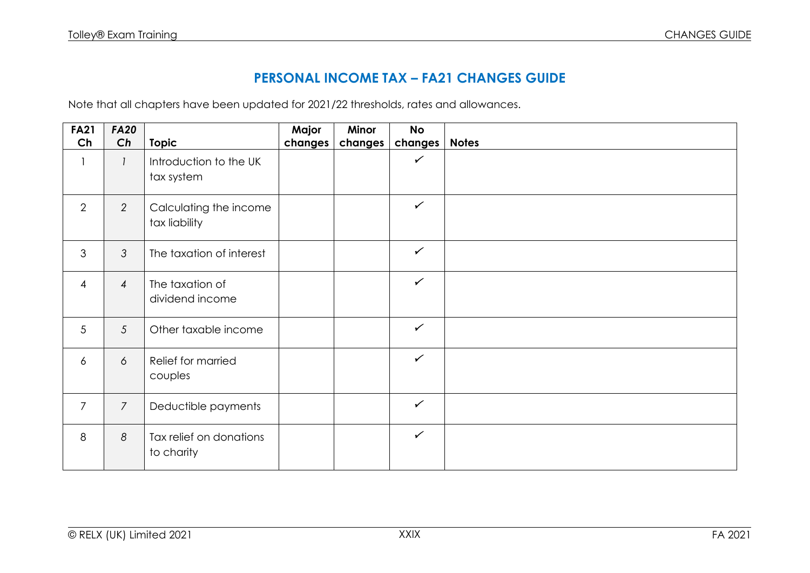## **PERSONAL INCOME TAX – FA21 CHANGES GUIDE**

Note that all chapters have been updated for 2021/22 thresholds, rates and allowances.

| <b>FA21</b>              | <b>FA20</b>     |                                         | Major   | Minor   | <b>No</b>    |              |
|--------------------------|-----------------|-----------------------------------------|---------|---------|--------------|--------------|
| Ch                       | Ch              | <b>Topic</b>                            | changes | changes | changes      | <b>Notes</b> |
| $\overline{\phantom{a}}$ | $\mathcal{I}$   | Introduction to the UK<br>tax system    |         |         | $\checkmark$ |              |
| 2                        | $\overline{2}$  | Calculating the income<br>tax liability |         |         | $\checkmark$ |              |
| 3                        | $\mathfrak{Z}$  | The taxation of interest                |         |         | $\checkmark$ |              |
| $\overline{4}$           | $\overline{4}$  | The taxation of<br>dividend income      |         |         | $\checkmark$ |              |
| $5\phantom{.0}$          | $5\overline{)}$ | Other taxable income                    |         |         | $\checkmark$ |              |
| $\boldsymbol{6}$         | 6               | Relief for married<br>couples           |         |         | $\checkmark$ |              |
| $\overline{7}$           | $\overline{7}$  | Deductible payments                     |         |         | $\checkmark$ |              |
| 8                        | 8               | Tax relief on donations<br>to charity   |         |         | $\checkmark$ |              |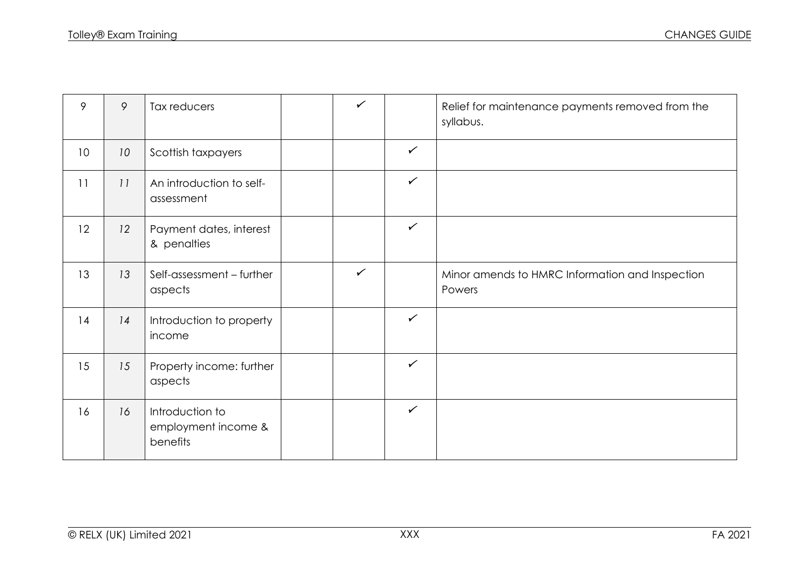| 9  | 9  | Tax reducers                                       | $\checkmark$ |              | Relief for maintenance payments removed from the<br>syllabus. |
|----|----|----------------------------------------------------|--------------|--------------|---------------------------------------------------------------|
| 10 | 10 | Scottish taxpayers                                 |              | $\checkmark$ |                                                               |
| 11 | 11 | An introduction to self-<br>assessment             |              | $\checkmark$ |                                                               |
| 12 | 12 | Payment dates, interest<br>& penalties             |              | $\checkmark$ |                                                               |
| 13 | 13 | Self-assessment - further<br>aspects               | $\checkmark$ |              | Minor amends to HMRC Information and Inspection<br>Powers     |
| 14 | 14 | Introduction to property<br>income                 |              | $\checkmark$ |                                                               |
| 15 | 15 | Property income: further<br>aspects                |              | $\checkmark$ |                                                               |
| 16 | 16 | Introduction to<br>employment income &<br>benefits |              | $\checkmark$ |                                                               |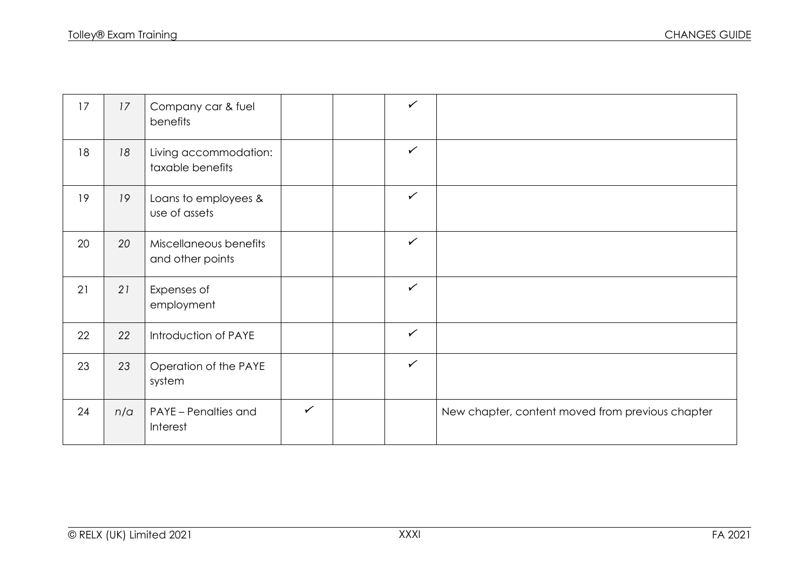| 17 | 17  | Company car & fuel<br>benefits             |              | $\checkmark$ |                                                  |
|----|-----|--------------------------------------------|--------------|--------------|--------------------------------------------------|
| 18 | 18  | Living accommodation:<br>taxable benefits  |              | $\checkmark$ |                                                  |
| 19 | 19  | Loans to employees &<br>use of assets      |              | $\checkmark$ |                                                  |
| 20 | 20  | Miscellaneous benefits<br>and other points |              | $\checkmark$ |                                                  |
| 21 | 21  | Expenses of<br>employment                  |              | $\checkmark$ |                                                  |
| 22 | 22  | Introduction of PAYE                       |              | $\checkmark$ |                                                  |
| 23 | 23  | Operation of the PAYE<br>system            |              | $\checkmark$ |                                                  |
| 24 | n/a | <b>PAYE</b> - Penalties and<br>Interest    | $\checkmark$ |              | New chapter, content moved from previous chapter |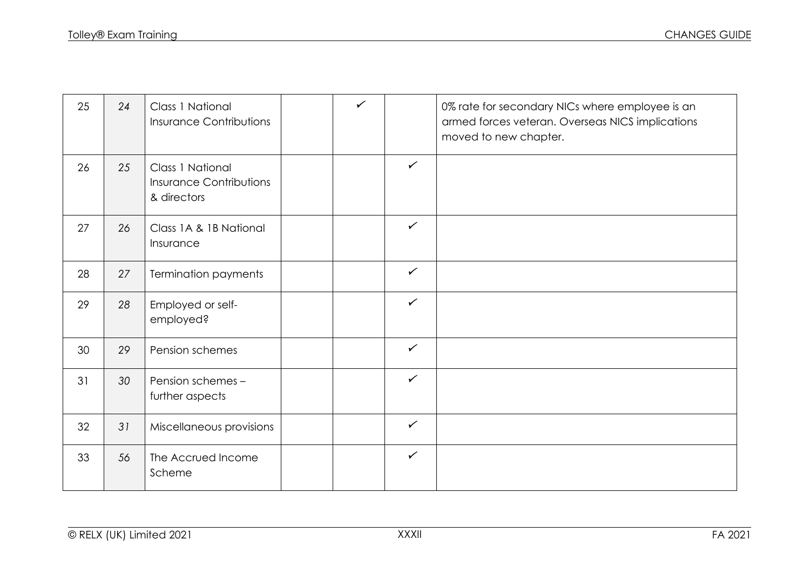| 25 | 24 | Class 1 National<br><b>Insurance Contributions</b>                | $\checkmark$ |              | 0% rate for secondary NICs where employee is an<br>armed forces veteran. Overseas NICS implications<br>moved to new chapter. |
|----|----|-------------------------------------------------------------------|--------------|--------------|------------------------------------------------------------------------------------------------------------------------------|
| 26 | 25 | Class 1 National<br><b>Insurance Contributions</b><br>& directors |              | $\checkmark$ |                                                                                                                              |
| 27 | 26 | Class 1A & 1B National<br>Insurance                               |              | $\checkmark$ |                                                                                                                              |
| 28 | 27 | Termination payments                                              |              | $\checkmark$ |                                                                                                                              |
| 29 | 28 | Employed or self-<br>employed?                                    |              | $\checkmark$ |                                                                                                                              |
| 30 | 29 | Pension schemes                                                   |              | $\checkmark$ |                                                                                                                              |
| 31 | 30 | Pension schemes -<br>further aspects                              |              | $\checkmark$ |                                                                                                                              |
| 32 | 31 | Miscellaneous provisions                                          |              | $\checkmark$ |                                                                                                                              |
| 33 | 56 | The Accrued Income<br>Scheme                                      |              | $\checkmark$ |                                                                                                                              |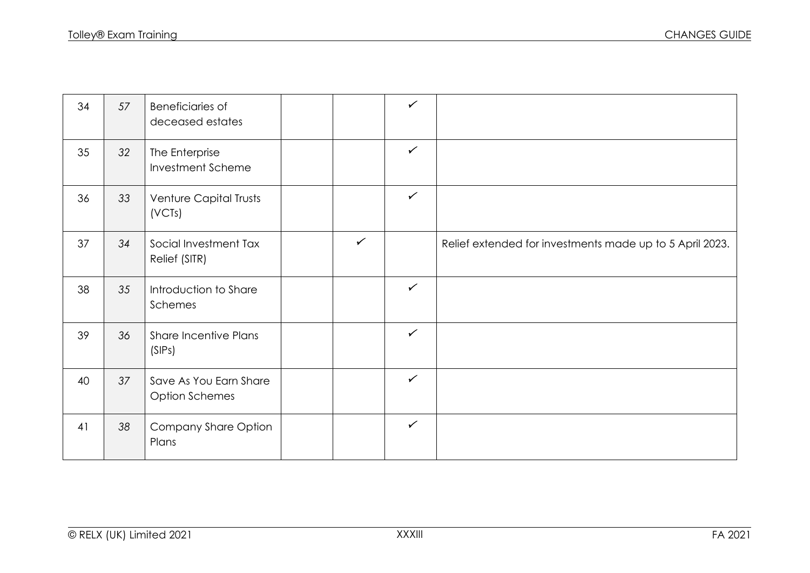| 34 | 57 | <b>Beneficiaries of</b><br>deceased estates     |              | $\checkmark$ |                                                          |
|----|----|-------------------------------------------------|--------------|--------------|----------------------------------------------------------|
| 35 | 32 | The Enterprise<br><b>Investment Scheme</b>      |              | $\checkmark$ |                                                          |
| 36 | 33 | Venture Capital Trusts<br>(VCTs)                |              | $\checkmark$ |                                                          |
| 37 | 34 | Social Investment Tax<br>Relief (SITR)          | $\checkmark$ |              | Relief extended for investments made up to 5 April 2023. |
| 38 | 35 | Introduction to Share<br>Schemes                |              | $\checkmark$ |                                                          |
| 39 | 36 | <b>Share Incentive Plans</b><br>(SIPs)          |              | $\checkmark$ |                                                          |
| 40 | 37 | Save As You Earn Share<br><b>Option Schemes</b> |              | $\checkmark$ |                                                          |
| 41 | 38 | Company Share Option<br>Plans                   |              | $\checkmark$ |                                                          |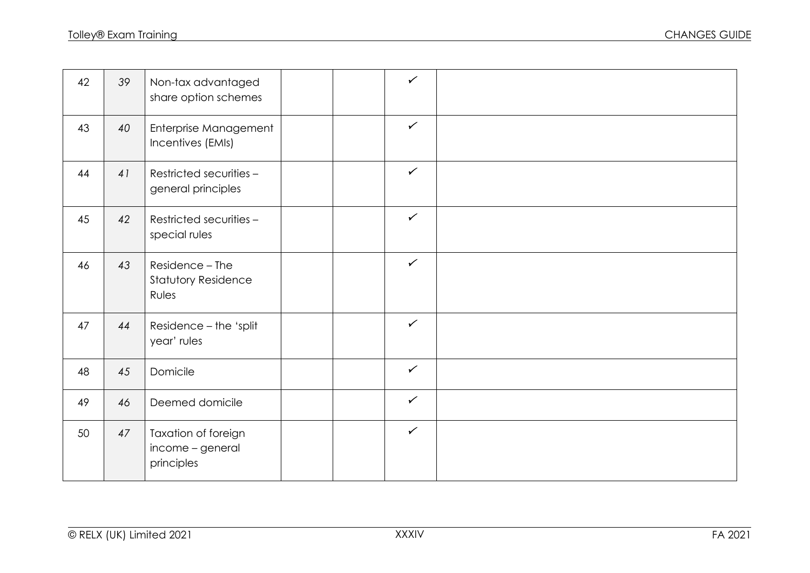| 42 | 39 | Non-tax advantaged<br>share option schemes             |  | $\checkmark$ |  |
|----|----|--------------------------------------------------------|--|--------------|--|
| 43 | 40 | Enterprise Management<br>Incentives (EMIs)             |  | $\checkmark$ |  |
| 44 | 41 | Restricted securities -<br>general principles          |  | $\checkmark$ |  |
| 45 | 42 | Restricted securities -<br>special rules               |  | $\checkmark$ |  |
| 46 | 43 | Residence - The<br><b>Statutory Residence</b><br>Rules |  | $\checkmark$ |  |
| 47 | 44 | Residence - the 'split<br>year' rules                  |  | $\checkmark$ |  |
| 48 | 45 | Domicile                                               |  | $\checkmark$ |  |
| 49 | 46 | Deemed domicile                                        |  | $\checkmark$ |  |
| 50 | 47 | Taxation of foreign<br>income - general<br>principles  |  | $\checkmark$ |  |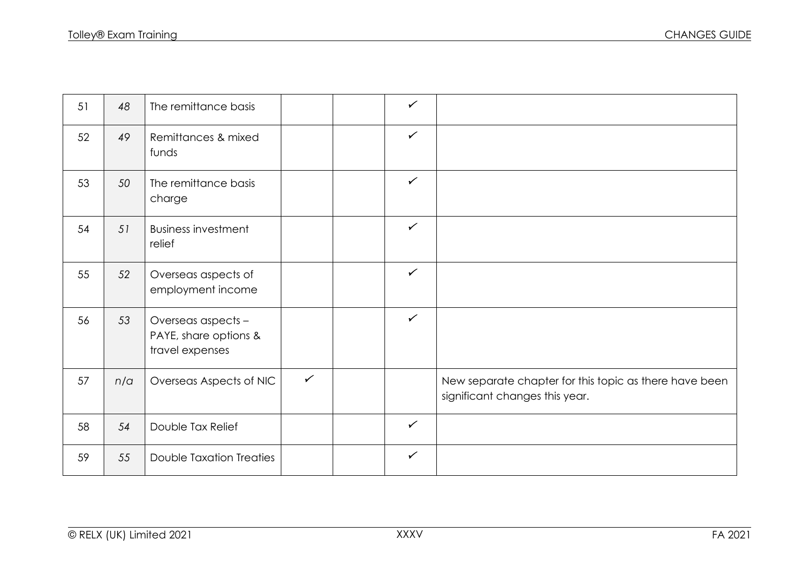| 51 | 48  | The remittance basis                                           |              | $\checkmark$ |                                                                                          |
|----|-----|----------------------------------------------------------------|--------------|--------------|------------------------------------------------------------------------------------------|
| 52 | 49  | Remittances & mixed<br>funds                                   |              | $\checkmark$ |                                                                                          |
| 53 | 50  | The remittance basis<br>charge                                 |              | $\checkmark$ |                                                                                          |
| 54 | 51  | <b>Business investment</b><br>relief                           |              | $\checkmark$ |                                                                                          |
| 55 | 52  | Overseas aspects of<br>employment income                       |              | $\checkmark$ |                                                                                          |
| 56 | 53  | Overseas aspects -<br>PAYE, share options &<br>travel expenses |              | $\checkmark$ |                                                                                          |
| 57 | n/a | Overseas Aspects of NIC                                        | $\checkmark$ |              | New separate chapter for this topic as there have been<br>significant changes this year. |
| 58 | 54  | Double Tax Relief                                              |              | $\checkmark$ |                                                                                          |
| 59 | 55  | <b>Double Taxation Treaties</b>                                |              | $\checkmark$ |                                                                                          |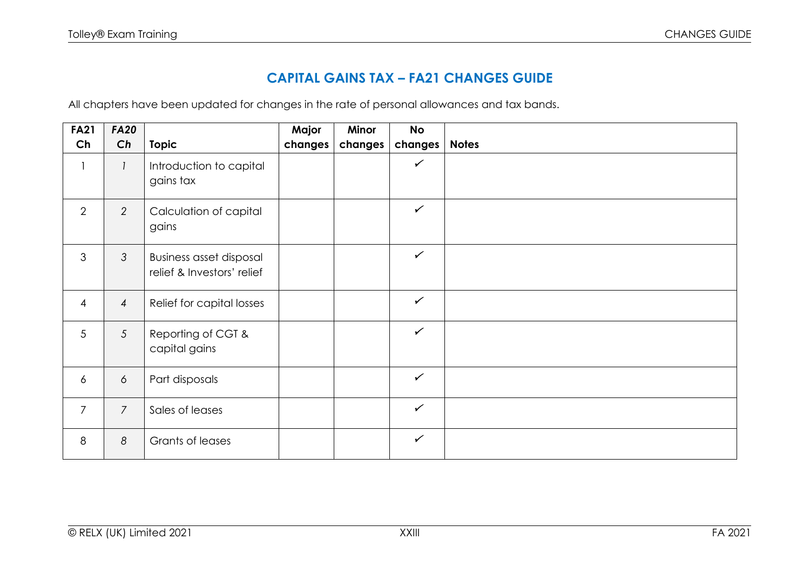## **CAPITAL GAINS TAX – FA21 CHANGES GUIDE**

All chapters have been updated for changes in the rate of personal allowances and tax bands.

| <b>FA21</b>    | <b>FA20</b>    |                                                              | Major   | Minor   | <b>No</b>    |              |
|----------------|----------------|--------------------------------------------------------------|---------|---------|--------------|--------------|
| Ch             | Ch             | <b>Topic</b>                                                 | changes | changes | changes      | <b>Notes</b> |
| $\mathbf{1}$   |                | Introduction to capital<br>gains tax                         |         |         | $\checkmark$ |              |
| $\overline{2}$ | 2              | Calculation of capital<br>gains                              |         |         | $\checkmark$ |              |
| 3              | $\mathcal{S}$  | <b>Business asset disposal</b><br>relief & Investors' relief |         |         | $\checkmark$ |              |
| $\overline{4}$ | $\overline{4}$ | Relief for capital losses                                    |         |         | $\checkmark$ |              |
| 5              | 5              | Reporting of CGT &<br>capital gains                          |         |         | $\checkmark$ |              |
| 6              | 6              | Part disposals                                               |         |         | $\checkmark$ |              |
| $\overline{7}$ | $\overline{7}$ | Sales of leases                                              |         |         | $\checkmark$ |              |
| 8              | 8              | Grants of leases                                             |         |         | $\checkmark$ |              |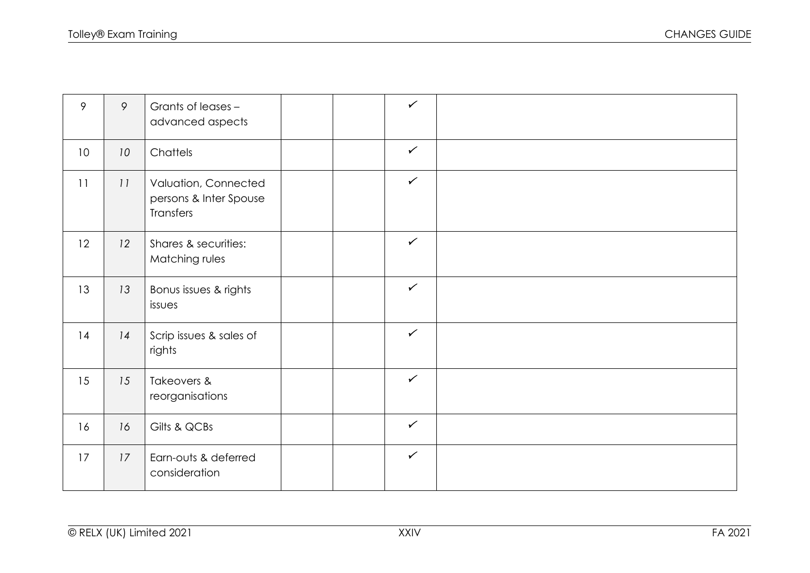| 9               | 9  | Grants of leases -<br>advanced aspects                      | $\checkmark$ |  |
|-----------------|----|-------------------------------------------------------------|--------------|--|
| 10 <sup>°</sup> | 10 | Chattels                                                    | $\checkmark$ |  |
| 11              | 11 | Valuation, Connected<br>persons & Inter Spouse<br>Transfers | $\checkmark$ |  |
| 12              | 12 | Shares & securities:<br>Matching rules                      | $\checkmark$ |  |
| 13              | 13 | Bonus issues & rights<br>issues                             | $\checkmark$ |  |
| 14              | 14 | Scrip issues & sales of<br>rights                           | $\checkmark$ |  |
| 15              | 15 | Takeovers &<br>reorganisations                              | $\checkmark$ |  |
| 16              | 16 | Gilts & QCBs                                                | $\checkmark$ |  |
| 17              | 17 | Earn-outs & deferred<br>consideration                       | $\checkmark$ |  |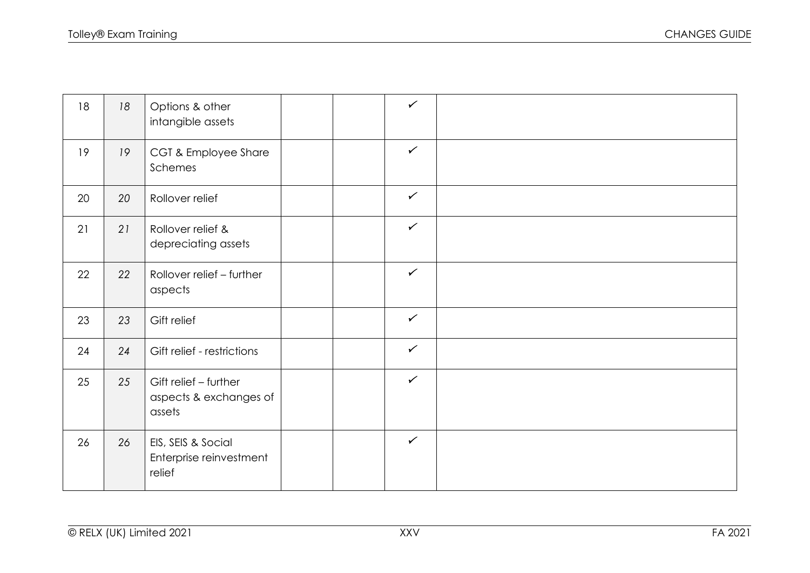| 18 | 18 | Options & other<br>intangible assets                      |  | $\checkmark$ |  |
|----|----|-----------------------------------------------------------|--|--------------|--|
| 19 | 19 | CGT & Employee Share<br>Schemes                           |  | $\checkmark$ |  |
| 20 | 20 | Rollover relief                                           |  | $\checkmark$ |  |
| 21 | 21 | Rollover relief &<br>depreciating assets                  |  | $\checkmark$ |  |
| 22 | 22 | Rollover relief - further<br>aspects                      |  | $\checkmark$ |  |
| 23 | 23 | Gift relief                                               |  | $\checkmark$ |  |
| 24 | 24 | Gift relief - restrictions                                |  | $\checkmark$ |  |
| 25 | 25 | Gift relief - further<br>aspects & exchanges of<br>assets |  | $\checkmark$ |  |
| 26 | 26 | EIS, SEIS & Social<br>Enterprise reinvestment<br>relief   |  | $\checkmark$ |  |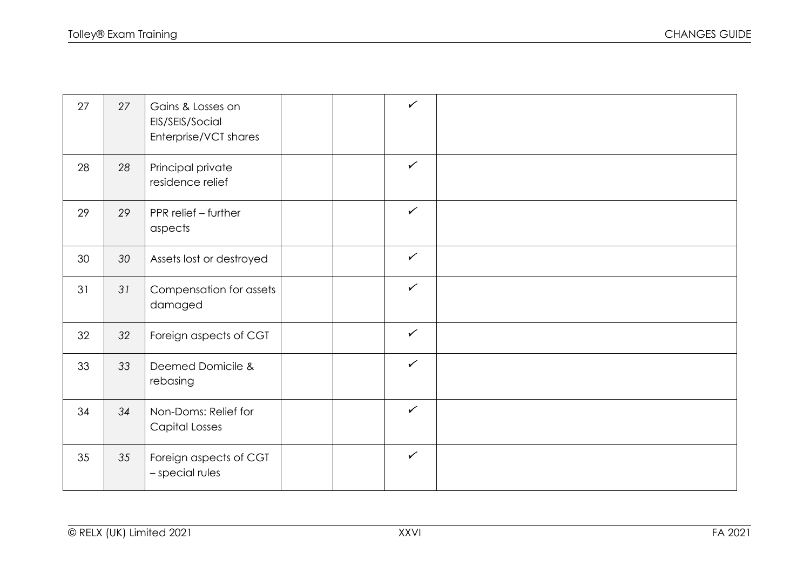| 27 | 27 | Gains & Losses on<br>EIS/SEIS/Social<br>Enterprise/VCT shares |  | $\checkmark$ |  |
|----|----|---------------------------------------------------------------|--|--------------|--|
| 28 | 28 | Principal private<br>residence relief                         |  | $\checkmark$ |  |
| 29 | 29 | PPR relief - further<br>aspects                               |  | $\checkmark$ |  |
| 30 | 30 | Assets lost or destroyed                                      |  | $\checkmark$ |  |
| 31 | 31 | Compensation for assets<br>damaged                            |  | $\checkmark$ |  |
| 32 | 32 | Foreign aspects of CGT                                        |  | $\checkmark$ |  |
| 33 | 33 | Deemed Domicile &<br>rebasing                                 |  | $\checkmark$ |  |
| 34 | 34 | Non-Doms: Relief for<br>Capital Losses                        |  | $\checkmark$ |  |
| 35 | 35 | Foreign aspects of CGT<br>- special rules                     |  | $\checkmark$ |  |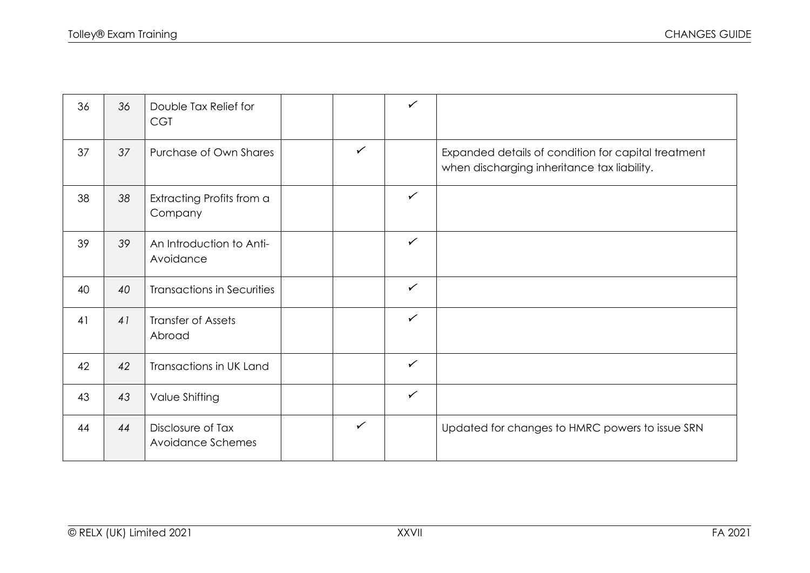| 36 | 36 | Double Tax Relief for<br><b>CGT</b>    |              | $\checkmark$ |                                                                                                    |
|----|----|----------------------------------------|--------------|--------------|----------------------------------------------------------------------------------------------------|
| 37 | 37 | Purchase of Own Shares                 | $\checkmark$ |              | Expanded details of condition for capital treatment<br>when discharging inheritance tax liability. |
| 38 | 38 | Extracting Profits from a<br>Company   |              | $\checkmark$ |                                                                                                    |
| 39 | 39 | An Introduction to Anti-<br>Avoidance  |              | $\checkmark$ |                                                                                                    |
| 40 | 40 | <b>Transactions in Securities</b>      |              | $\checkmark$ |                                                                                                    |
| 41 | 41 | <b>Transfer of Assets</b><br>Abroad    |              | $\checkmark$ |                                                                                                    |
| 42 | 42 | Transactions in UK Land                |              | $\checkmark$ |                                                                                                    |
| 43 | 43 | Value Shifting                         |              | $\checkmark$ |                                                                                                    |
| 44 | 44 | Disclosure of Tax<br>Avoidance Schemes | $\checkmark$ |              | Updated for changes to HMRC powers to issue SRN                                                    |